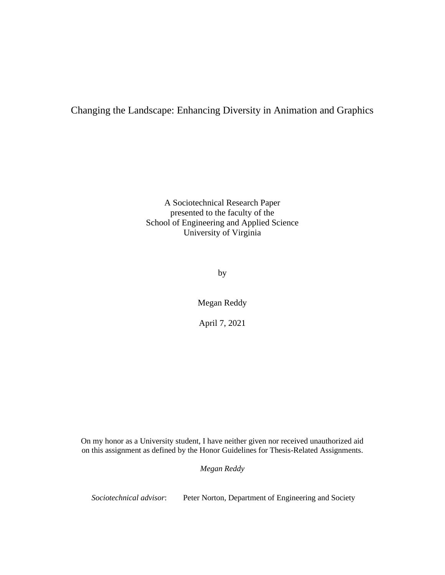# Changing the Landscape: Enhancing Diversity in Animation and Graphics

A Sociotechnical Research Paper presented to the faculty of the School of Engineering and Applied Science University of Virginia

by

Megan Reddy

April 7, 2021

On my honor as a University student, I have neither given nor received unauthorized aid on this assignment as defined by the Honor Guidelines for Thesis-Related Assignments.

*Megan Reddy*

*Sociotechnical advisor*: Peter Norton, Department of Engineering and Society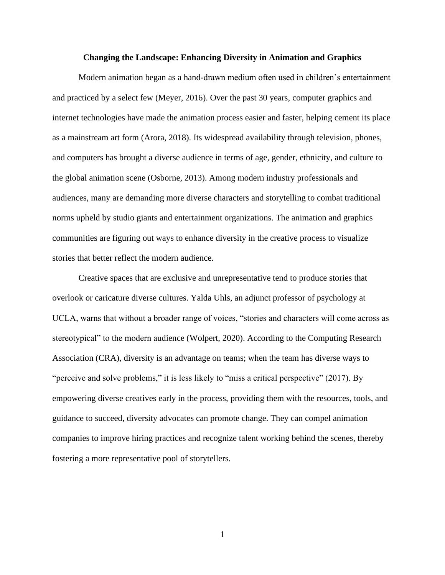#### **Changing the Landscape: Enhancing Diversity in Animation and Graphics**

Modern animation began as a hand-drawn medium often used in children's entertainment and practiced by a select few (Meyer, 2016). Over the past 30 years, computer graphics and internet technologies have made the animation process easier and faster, helping cement its place as a mainstream art form (Arora, 2018). Its widespread availability through television, phones, and computers has brought a diverse audience in terms of age, gender, ethnicity, and culture to the global animation scene (Osborne, 2013). Among modern industry professionals and audiences, many are demanding more diverse characters and storytelling to combat traditional norms upheld by studio giants and entertainment organizations. The animation and graphics communities are figuring out ways to enhance diversity in the creative process to visualize stories that better reflect the modern audience.

Creative spaces that are exclusive and unrepresentative tend to produce stories that overlook or caricature diverse cultures. Yalda Uhls, an adjunct professor of psychology at UCLA, warns that without a broader range of voices, "stories and characters will come across as stereotypical" to the modern audience (Wolpert, 2020). According to the Computing Research Association (CRA), diversity is an advantage on teams; when the team has diverse ways to "perceive and solve problems," it is less likely to "miss a critical perspective" (2017). By empowering diverse creatives early in the process, providing them with the resources, tools, and guidance to succeed, diversity advocates can promote change. They can compel animation companies to improve hiring practices and recognize talent working behind the scenes, thereby fostering a more representative pool of storytellers.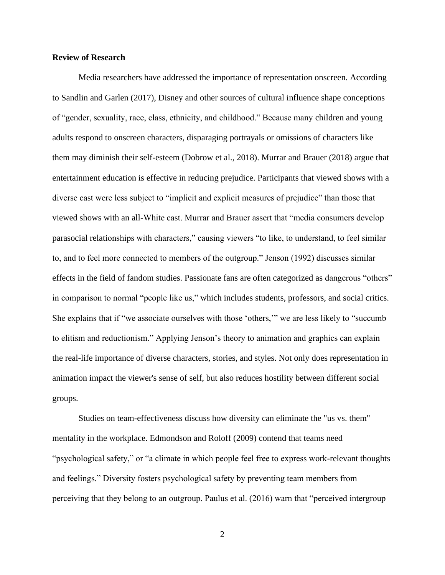### **Review of Research**

Media researchers have addressed the importance of representation onscreen. According to Sandlin and Garlen (2017), Disney and other sources of cultural influence shape conceptions of "gender, sexuality, race, class, ethnicity, and childhood." Because many children and young adults respond to onscreen characters, disparaging portrayals or omissions of characters like them may diminish their self-esteem (Dobrow et al., 2018). Murrar and Brauer (2018) argue that entertainment education is effective in reducing prejudice. Participants that viewed shows with a diverse cast were less subject to "implicit and explicit measures of prejudice" than those that viewed shows with an all-White cast. Murrar and Brauer assert that "media consumers develop parasocial relationships with characters," causing viewers "to like, to understand, to feel similar to, and to feel more connected to members of the outgroup." Jenson (1992) discusses similar effects in the field of fandom studies. Passionate fans are often categorized as dangerous "others" in comparison to normal "people like us," which includes students, professors, and social critics. She explains that if "we associate ourselves with those 'others,'" we are less likely to "succumb to elitism and reductionism." Applying Jenson's theory to animation and graphics can explain the real-life importance of diverse characters, stories, and styles. Not only does representation in animation impact the viewer's sense of self, but also reduces hostility between different social groups.

Studies on team-effectiveness discuss how diversity can eliminate the "us vs. them" mentality in the workplace. Edmondson and Roloff (2009) contend that teams need "psychological safety," or "a climate in which people feel free to express work-relevant thoughts and feelings." Diversity fosters psychological safety by preventing team members from perceiving that they belong to an outgroup. Paulus et al. (2016) warn that "perceived intergroup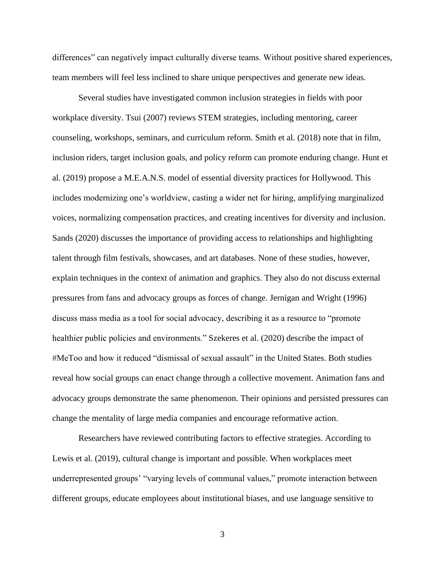differences" can negatively impact culturally diverse teams. Without positive shared experiences, team members will feel less inclined to share unique perspectives and generate new ideas.

Several studies have investigated common inclusion strategies in fields with poor workplace diversity. Tsui (2007) reviews STEM strategies, including mentoring, career counseling, workshops, seminars, and curriculum reform. Smith et al. (2018) note that in film, inclusion riders, target inclusion goals, and policy reform can promote enduring change. Hunt et al. (2019) propose a M.E.A.N.S. model of essential diversity practices for Hollywood. This includes modernizing one's worldview, casting a wider net for hiring, amplifying marginalized voices, normalizing compensation practices, and creating incentives for diversity and inclusion. Sands (2020) discusses the importance of providing access to relationships and highlighting talent through film festivals, showcases, and art databases. None of these studies, however, explain techniques in the context of animation and graphics. They also do not discuss external pressures from fans and advocacy groups as forces of change. Jernigan and Wright (1996) discuss mass media as a tool for social advocacy, describing it as a resource to "promote healthier public policies and environments." Szekeres et al. (2020) describe the impact of #MeToo and how it reduced "dismissal of sexual assault" in the United States. Both studies reveal how social groups can enact change through a collective movement. Animation fans and advocacy groups demonstrate the same phenomenon. Their opinions and persisted pressures can change the mentality of large media companies and encourage reformative action.

Researchers have reviewed contributing factors to effective strategies. According to Lewis et al. (2019), cultural change is important and possible. When workplaces meet underrepresented groups' "varying levels of communal values," promote interaction between different groups, educate employees about institutional biases, and use language sensitive to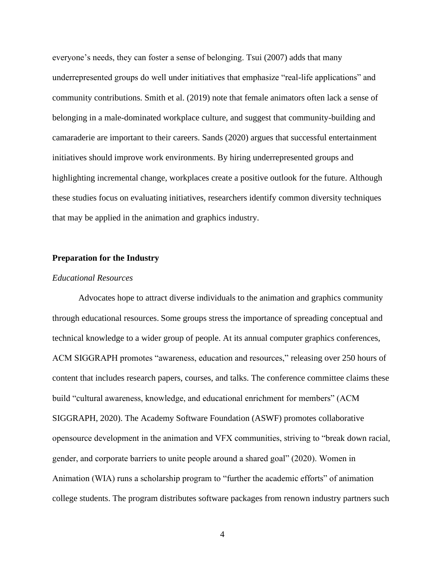everyone's needs, they can foster a sense of belonging. Tsui (2007) adds that many underrepresented groups do well under initiatives that emphasize "real-life applications" and community contributions. Smith et al. (2019) note that female animators often lack a sense of belonging in a male-dominated workplace culture, and suggest that community-building and camaraderie are important to their careers. Sands (2020) argues that successful entertainment initiatives should improve work environments. By hiring underrepresented groups and highlighting incremental change, workplaces create a positive outlook for the future. Although these studies focus on evaluating initiatives, researchers identify common diversity techniques that may be applied in the animation and graphics industry.

## **Preparation for the Industry**

#### *Educational Resources*

Advocates hope to attract diverse individuals to the animation and graphics community through educational resources. Some groups stress the importance of spreading conceptual and technical knowledge to a wider group of people. At its annual computer graphics conferences, ACM SIGGRAPH promotes "awareness, education and resources," releasing over 250 hours of content that includes research papers, courses, and talks. The conference committee claims these build "cultural awareness, knowledge, and educational enrichment for members" (ACM SIGGRAPH, 2020). The Academy Software Foundation (ASWF) promotes collaborative opensource development in the animation and VFX communities, striving to "break down racial, gender, and corporate barriers to unite people around a shared goal" (2020). Women in Animation (WIA) runs a scholarship program to "further the academic efforts" of animation college students. The program distributes software packages from renown industry partners such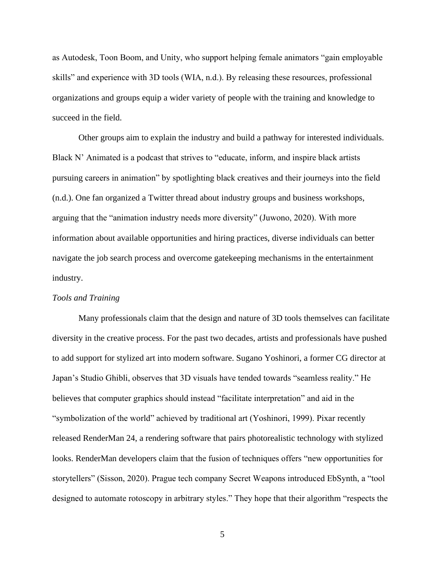as Autodesk, Toon Boom, and Unity, who support helping female animators "gain employable skills" and experience with 3D tools (WIA, n.d.). By releasing these resources, professional organizations and groups equip a wider variety of people with the training and knowledge to succeed in the field.

Other groups aim to explain the industry and build a pathway for interested individuals. Black N' Animated is a podcast that strives to "educate, inform, and inspire black artists pursuing careers in animation" by spotlighting black creatives and their journeys into the field (n.d.). One fan organized a Twitter thread about industry groups and business workshops, arguing that the "animation industry needs more diversity" (Juwono, 2020). With more information about available opportunities and hiring practices, diverse individuals can better navigate the job search process and overcome gatekeeping mechanisms in the entertainment industry.

## *Tools and Training*

Many professionals claim that the design and nature of 3D tools themselves can facilitate diversity in the creative process. For the past two decades, artists and professionals have pushed to add support for stylized art into modern software. Sugano Yoshinori, a former CG director at Japan's Studio Ghibli, observes that 3D visuals have tended towards "seamless reality." He believes that computer graphics should instead "facilitate interpretation" and aid in the "symbolization of the world" achieved by traditional art (Yoshinori, 1999). Pixar recently released RenderMan 24, a rendering software that pairs photorealistic technology with stylized looks. RenderMan developers claim that the fusion of techniques offers "new opportunities for storytellers" (Sisson, 2020). Prague tech company Secret Weapons introduced EbSynth, a "tool designed to automate rotoscopy in arbitrary styles." They hope that their algorithm "respects the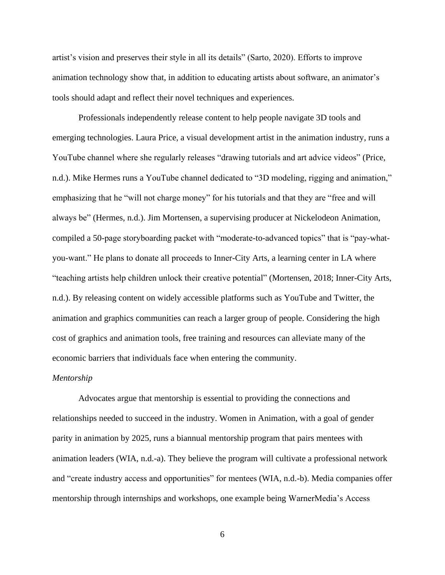artist's vision and preserves their style in all its details" (Sarto, 2020). Efforts to improve animation technology show that, in addition to educating artists about software, an animator's tools should adapt and reflect their novel techniques and experiences.

Professionals independently release content to help people navigate 3D tools and emerging technologies. Laura Price, a visual development artist in the animation industry, runs a YouTube channel where she regularly releases "drawing tutorials and art advice videos" (Price, n.d.). Mike Hermes runs a YouTube channel dedicated to "3D modeling, rigging and animation," emphasizing that he "will not charge money" for his tutorials and that they are "free and will always be" (Hermes, n.d.). Jim Mortensen, a supervising producer at Nickelodeon Animation, compiled a 50-page storyboarding packet with "moderate-to-advanced topics" that is "pay-whatyou-want." He plans to donate all proceeds to Inner-City Arts, a learning center in LA where "teaching artists help children unlock their creative potential" (Mortensen, 2018; Inner-City Arts, n.d.). By releasing content on widely accessible platforms such as YouTube and Twitter, the animation and graphics communities can reach a larger group of people. Considering the high cost of graphics and animation tools, free training and resources can alleviate many of the economic barriers that individuals face when entering the community.

## *Mentorship*

Advocates argue that mentorship is essential to providing the connections and relationships needed to succeed in the industry. Women in Animation, with a goal of gender parity in animation by 2025, runs a biannual mentorship program that pairs mentees with animation leaders (WIA, n.d.-a). They believe the program will cultivate a professional network and "create industry access and opportunities" for mentees (WIA, n.d.-b). Media companies offer mentorship through internships and workshops, one example being WarnerMedia's Access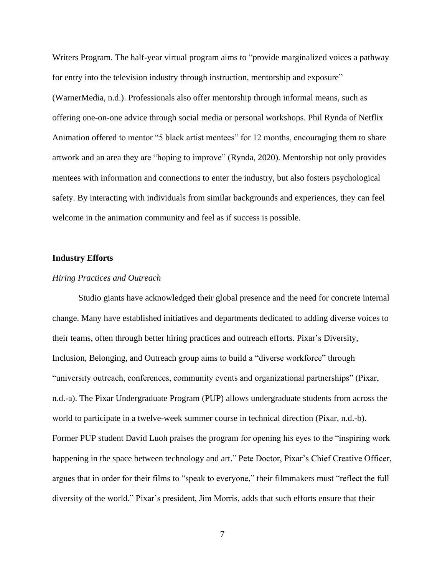Writers Program. The half-year virtual program aims to "provide marginalized voices a pathway for entry into the television industry through instruction, mentorship and exposure" (WarnerMedia, n.d.). Professionals also offer mentorship through informal means, such as offering one-on-one advice through social media or personal workshops. Phil Rynda of Netflix Animation offered to mentor "5 black artist mentees" for 12 months, encouraging them to share artwork and an area they are "hoping to improve" (Rynda, 2020). Mentorship not only provides mentees with information and connections to enter the industry, but also fosters psychological safety. By interacting with individuals from similar backgrounds and experiences, they can feel welcome in the animation community and feel as if success is possible.

#### **Industry Efforts**

#### *Hiring Practices and Outreach*

Studio giants have acknowledged their global presence and the need for concrete internal change. Many have established initiatives and departments dedicated to adding diverse voices to their teams, often through better hiring practices and outreach efforts. Pixar's Diversity, Inclusion, Belonging, and Outreach group aims to build a "diverse workforce" through "university outreach, conferences, community events and organizational partnerships" (Pixar, n.d.-a). The Pixar Undergraduate Program (PUP) allows undergraduate students from across the world to participate in a twelve-week summer course in technical direction (Pixar, n.d.-b). Former PUP student David Luoh praises the program for opening his eyes to the "inspiring work happening in the space between technology and art." Pete Doctor, Pixar's Chief Creative Officer, argues that in order for their films to "speak to everyone," their filmmakers must "reflect the full diversity of the world." Pixar's president, Jim Morris, adds that such efforts ensure that their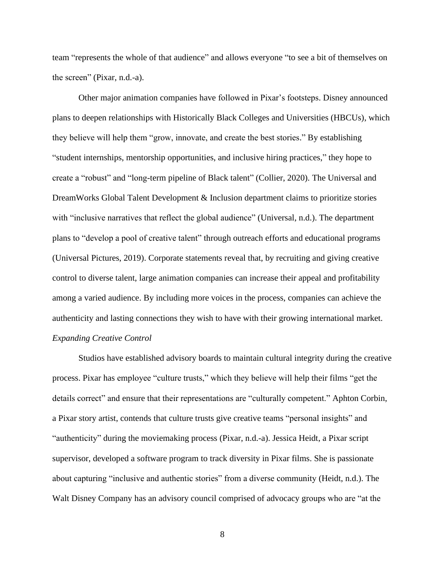team "represents the whole of that audience" and allows everyone "to see a bit of themselves on the screen" (Pixar, n.d.-a).

Other major animation companies have followed in Pixar's footsteps. Disney announced plans to deepen relationships with Historically Black Colleges and Universities (HBCUs), which they believe will help them "grow, innovate, and create the best stories." By establishing "student internships, mentorship opportunities, and inclusive hiring practices," they hope to create a "robust" and "long-term pipeline of Black talent" (Collier, 2020). The Universal and DreamWorks Global Talent Development & Inclusion department claims to prioritize stories with "inclusive narratives that reflect the global audience" (Universal, n.d.). The department plans to "develop a pool of creative talent" through outreach efforts and educational programs (Universal Pictures, 2019). Corporate statements reveal that, by recruiting and giving creative control to diverse talent, large animation companies can increase their appeal and profitability among a varied audience. By including more voices in the process, companies can achieve the authenticity and lasting connections they wish to have with their growing international market. *Expanding Creative Control*

Studios have established advisory boards to maintain cultural integrity during the creative process. Pixar has employee "culture trusts," which they believe will help their films "get the details correct" and ensure that their representations are "culturally competent." Aphton Corbin, a Pixar story artist, contends that culture trusts give creative teams "personal insights" and "authenticity" during the moviemaking process (Pixar, n.d.-a). Jessica Heidt, a Pixar script supervisor, developed a software program to track diversity in Pixar films. She is passionate about capturing "inclusive and authentic stories" from a diverse community (Heidt, n.d.). The Walt Disney Company has an advisory council comprised of advocacy groups who are "at the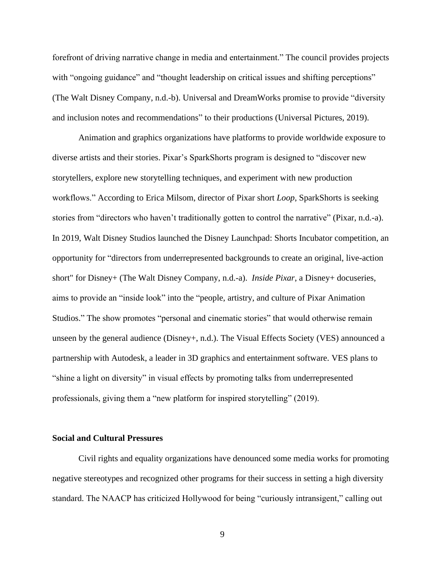forefront of driving narrative change in media and entertainment." The council provides projects with "ongoing guidance" and "thought leadership on critical issues and shifting perceptions" (The Walt Disney Company, n.d.-b). Universal and DreamWorks promise to provide "diversity and inclusion notes and recommendations" to their productions (Universal Pictures, 2019).

Animation and graphics organizations have platforms to provide worldwide exposure to diverse artists and their stories. Pixar's SparkShorts program is designed to "discover new storytellers, explore new storytelling techniques, and experiment with new production workflows." According to Erica Milsom, director of Pixar short *Loop*, SparkShorts is seeking stories from "directors who haven't traditionally gotten to control the narrative" (Pixar, n.d.-a). In 2019, Walt Disney Studios launched the Disney Launchpad: Shorts Incubator competition, an opportunity for "directors from underrepresented backgrounds to create an original, live-action short" for Disney+ (The Walt Disney Company, n.d.-a). *Inside Pixar*, a Disney+ docuseries, aims to provide an "inside look" into the "people, artistry, and culture of Pixar Animation Studios." The show promotes "personal and cinematic stories" that would otherwise remain unseen by the general audience (Disney+, n.d.). The Visual Effects Society (VES) announced a partnership with Autodesk, a leader in 3D graphics and entertainment software. VES plans to "shine a light on diversity" in visual effects by promoting talks from underrepresented professionals, giving them a "new platform for inspired storytelling" (2019).

#### **Social and Cultural Pressures**

Civil rights and equality organizations have denounced some media works for promoting negative stereotypes and recognized other programs for their success in setting a high diversity standard. The NAACP has criticized Hollywood for being "curiously intransigent," calling out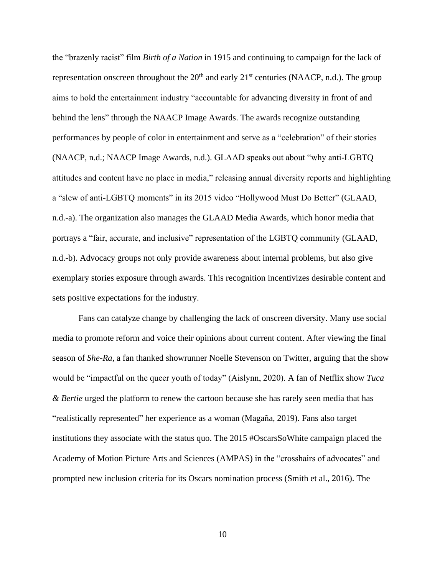the "brazenly racist" film *Birth of a Nation* in 1915 and continuing to campaign for the lack of representation onscreen throughout the  $20<sup>th</sup>$  and early  $21<sup>st</sup>$  centuries (NAACP, n.d.). The group aims to hold the entertainment industry "accountable for advancing diversity in front of and behind the lens" through the NAACP Image Awards. The awards recognize outstanding performances by people of color in entertainment and serve as a "celebration" of their stories (NAACP, n.d.; NAACP Image Awards, n.d.). GLAAD speaks out about "why anti-LGBTQ attitudes and content have no place in media," releasing annual diversity reports and highlighting a "slew of anti-LGBTQ moments" in its 2015 video "Hollywood Must Do Better" (GLAAD, n.d.-a). The organization also manages the GLAAD Media Awards, which honor media that portrays a "fair, accurate, and inclusive" representation of the LGBTQ community (GLAAD, n.d.-b). Advocacy groups not only provide awareness about internal problems, but also give exemplary stories exposure through awards. This recognition incentivizes desirable content and sets positive expectations for the industry.

Fans can catalyze change by challenging the lack of onscreen diversity. Many use social media to promote reform and voice their opinions about current content. After viewing the final season of *She-Ra*, a fan thanked showrunner Noelle Stevenson on Twitter, arguing that the show would be "impactful on the queer youth of today" (Aislynn, 2020). A fan of Netflix show *Tuca & Bertie* urged the platform to renew the cartoon because she has rarely seen media that has "realistically represented" her experience as a woman (Magaña, 2019). Fans also target institutions they associate with the status quo. The 2015 #OscarsSoWhite campaign placed the Academy of Motion Picture Arts and Sciences (AMPAS) in the "crosshairs of advocates" and prompted new inclusion criteria for its Oscars nomination process (Smith et al., 2016). The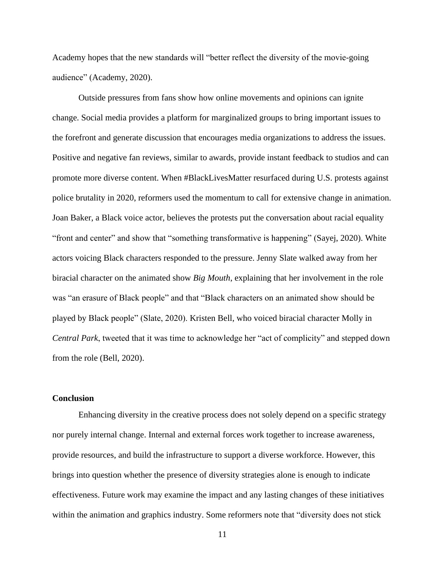Academy hopes that the new standards will "better reflect the diversity of the movie-going audience" (Academy, 2020).

Outside pressures from fans show how online movements and opinions can ignite change. Social media provides a platform for marginalized groups to bring important issues to the forefront and generate discussion that encourages media organizations to address the issues. Positive and negative fan reviews, similar to awards, provide instant feedback to studios and can promote more diverse content. When #BlackLivesMatter resurfaced during U.S. protests against police brutality in 2020, reformers used the momentum to call for extensive change in animation. Joan Baker, a Black voice actor, believes the protests put the conversation about racial equality "front and center" and show that "something transformative is happening" (Sayej, 2020). White actors voicing Black characters responded to the pressure. Jenny Slate walked away from her biracial character on the animated show *Big Mouth*, explaining that her involvement in the role was "an erasure of Black people" and that "Black characters on an animated show should be played by Black people" (Slate, 2020). Kristen Bell, who voiced biracial character Molly in *Central Park*, tweeted that it was time to acknowledge her "act of complicity" and stepped down from the role (Bell, 2020).

## **Conclusion**

Enhancing diversity in the creative process does not solely depend on a specific strategy nor purely internal change. Internal and external forces work together to increase awareness, provide resources, and build the infrastructure to support a diverse workforce. However, this brings into question whether the presence of diversity strategies alone is enough to indicate effectiveness. Future work may examine the impact and any lasting changes of these initiatives within the animation and graphics industry. Some reformers note that "diversity does not stick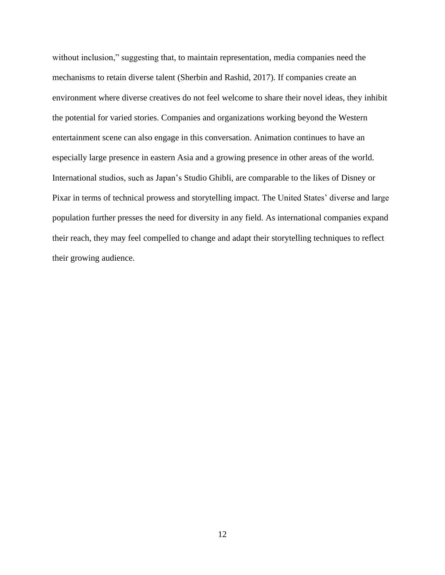without inclusion," suggesting that, to maintain representation, media companies need the mechanisms to retain diverse talent (Sherbin and Rashid, 2017). If companies create an environment where diverse creatives do not feel welcome to share their novel ideas, they inhibit the potential for varied stories. Companies and organizations working beyond the Western entertainment scene can also engage in this conversation. Animation continues to have an especially large presence in eastern Asia and a growing presence in other areas of the world. International studios, such as Japan's Studio Ghibli, are comparable to the likes of Disney or Pixar in terms of technical prowess and storytelling impact. The United States' diverse and large population further presses the need for diversity in any field. As international companies expand their reach, they may feel compelled to change and adapt their storytelling techniques to reflect their growing audience.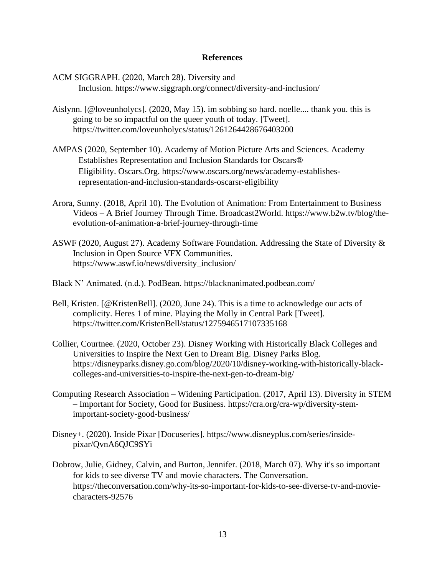## **References**

ACM SIGGRAPH. (2020, March 28). Diversity and Inclusion. https://www.siggraph.org/connect/diversity-and-inclusion/

- Aislynn. [@loveunholycs]. (2020, May 15). im sobbing so hard. noelle.... thank you. this is going to be so impactful on the queer youth of today. [Tweet]. https://twitter.com/loveunholycs/status/1261264428676403200
- AMPAS (2020, September 10). Academy of Motion Picture Arts and Sciences. Academy Establishes Representation and Inclusion Standards for Oscars® Eligibility. Oscars.Org. https://www.oscars.org/news/academy-establishesrepresentation-and-inclusion-standards-oscarsr-eligibility
- Arora, Sunny. (2018, April 10). The Evolution of Animation: From Entertainment to Business Videos – A Brief Journey Through Time. Broadcast2World. https://www.b2w.tv/blog/theevolution-of-animation-a-brief-journey-through-time
- ASWF (2020, August 27). Academy Software Foundation. Addressing the State of Diversity & Inclusion in Open Source VFX Communities. https://www.aswf.io/news/diversity\_inclusion/
- Black N' Animated. (n.d.). PodBean.<https://blacknanimated.podbean.com/>
- Bell, Kristen. [@KristenBell]. (2020, June 24). This is a time to acknowledge our acts of complicity. Heres 1 of mine. Playing the Molly in Central Park [Tweet]. https://twitter.com/KristenBell/status/1275946517107335168
- Collier, Courtnee. (2020, October 23). Disney Working with Historically Black Colleges and Universities to Inspire the Next Gen to Dream Big. Disney Parks Blog. [https://disneyparks.disney.go.com/blog/2020/10/disney-working-with-historically-black](https://disneyparks.disney.go.com/blog/2020/10/disney-working-with-historically-black-colleges-and-universities-to-inspire-the-next-gen-to-dream-big/)[colleges-and-universities-to-inspire-the-next-gen-to-dream-big/](https://disneyparks.disney.go.com/blog/2020/10/disney-working-with-historically-black-colleges-and-universities-to-inspire-the-next-gen-to-dream-big/)
- Computing Research Association Widening Participation. (2017, April 13). Diversity in STEM – Important for Society, Good for Business. [https://cra.org/cra-wp/diversity-stem](https://cra.org/cra-wp/diversity-stem-important-society-good-business/)[important-society-good-business/](https://cra.org/cra-wp/diversity-stem-important-society-good-business/)
- Disney+. (2020). Inside Pixar [Docuseries]. [https://www.disneyplus.com/series/inside](https://www.disneyplus.com/series/inside-pixar/QvnA6QJC9SYi)[pixar/QvnA6QJC9SYi](https://www.disneyplus.com/series/inside-pixar/QvnA6QJC9SYi)
- Dobrow, Julie, Gidney, Calvin, and Burton, Jennifer. (2018, March 07). Why it's so important for kids to see diverse TV and movie characters. The Conversation. [https://theconversation.com/why-its-so-important-for-kids-to-see-diverse-tv-and-movie](https://theconversation.com/why-its-so-important-for-kids-to-see-diverse-tv-and-movie-characters-92576)[characters-92576](https://theconversation.com/why-its-so-important-for-kids-to-see-diverse-tv-and-movie-characters-92576)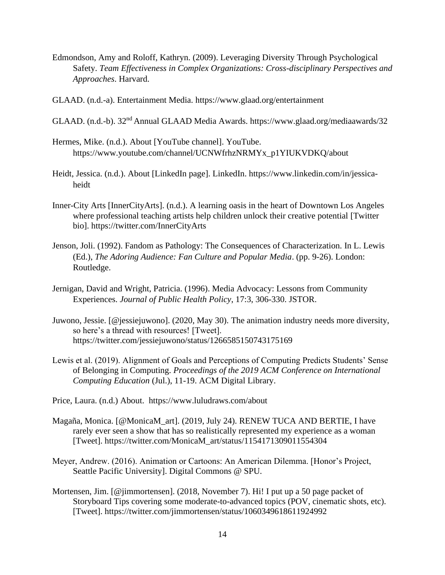- Edmondson, Amy and Roloff, Kathryn. (2009). Leveraging Diversity Through Psychological Safety. *Team Effectiveness in Complex Organizations: Cross-disciplinary Perspectives and Approaches*. Harvard.
- GLAAD. (n.d.-a). Entertainment Media.<https://www.glaad.org/entertainment>
- GLAAD. (n.d.-b). 32nd Annual GLAAD Media Awards.<https://www.glaad.org/mediaawards/32>
- Hermes, Mike. (n.d.). About [YouTube channel]. YouTube. [https://www.youtube.com/channel/UCNWfrhzNRMYx\\_p1YIUKVDKQ/about](https://www.youtube.com/channel/UCNWfrhzNRMYx_p1YIUKVDKQ/about)
- Heidt, Jessica. (n.d.). About [LinkedIn page]. LinkedIn. [https://www.linkedin.com/in/jessica](https://www.linkedin.com/in/jessica-heidt)[heidt](https://www.linkedin.com/in/jessica-heidt)
- Inner-City Arts [InnerCityArts]. (n.d.). A learning oasis in the heart of Downtown Los Angeles where professional teaching artists help children unlock their creative potential [Twitter bio].<https://twitter.com/InnerCityArts>
- Jenson, Joli. (1992). Fandom as Pathology: The Consequences of Characterization. In L. Lewis (Ed.), *The Adoring Audience: Fan Culture and Popular Media*. (pp. 9-26). London: Routledge.
- Jernigan, David and Wright, Patricia. (1996). Media Advocacy: Lessons from Community Experiences. *Journal of Public Health Policy*, 17:3, 306-330. JSTOR.
- Juwono, Jessie. [@jessiejuwono]. (2020, May 30). The animation industry needs more diversity, so here's a thread with resources! [Tweet]. https://twitter.com/jessiejuwono/status/1266585150743175169
- Lewis et al. (2019). Alignment of Goals and Perceptions of Computing Predicts Students' Sense of Belonging in Computing. *Proceedings of the 2019 ACM Conference on International Computing Education* (Jul.), 11-19. ACM Digital Library.

Price, Laura. (n.d.) About. <https://www.luludraws.com/about>

- Magaña, Monica. [@MonicaM\_art]. (2019, July 24). RENEW TUCA AND BERTIE, I have rarely ever seen a show that has so realistically represented my experience as a woman [Tweet]. [https://twitter.com/MonicaM\\_art/status/1154171309011554304](https://twitter.com/MonicaM_art/status/1154171309011554304)
- Meyer, Andrew. (2016). Animation or Cartoons: An American Dilemma. [Honor's Project, Seattle Pacific University]. Digital Commons @ SPU.
- Mortensen, Jim. [@jimmortensen]. (2018, November 7). Hi! I put up a 50 page packet of Storyboard Tips covering some moderate-to-advanced topics (POV, cinematic shots, etc). [Tweet]. <https://twitter.com/jimmortensen/status/1060349618611924992>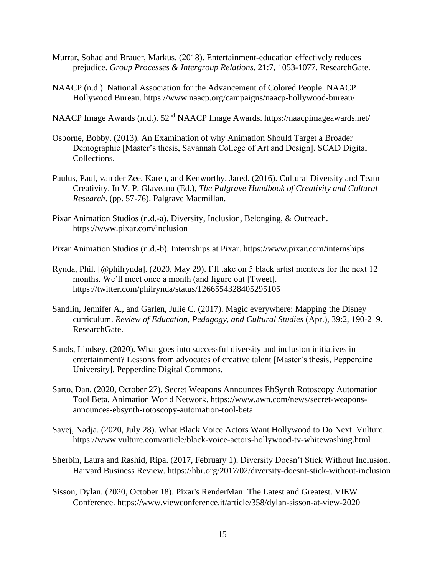- Murrar, Sohad and Brauer, Markus. (2018). Entertainment-education effectively reduces prejudice. *Group Processes & Intergroup Relations*, 21:7, 1053-1077. ResearchGate.
- NAACP (n.d.). National Association for the Advancement of Colored People. NAACP Hollywood Bureau.<https://www.naacp.org/campaigns/naacp-hollywood-bureau/>
- NAACP Image Awards (n.d.). 52<sup>nd</sup> NAACP Image Awards.<https://naacpimageawards.net/>
- Osborne, Bobby. (2013). An Examination of why Animation Should Target a Broader Demographic [Master's thesis, Savannah College of Art and Design]. SCAD Digital Collections.
- Paulus, Paul, van der Zee, Karen, and Kenworthy, Jared. (2016). Cultural Diversity and Team Creativity. In V. P. Glaveanu (Ed.), *The Palgrave Handbook of Creativity and Cultural Research*. (pp. 57-76). Palgrave Macmillan.
- Pixar Animation Studios (n.d.-a). Diversity, Inclusion, Belonging, & Outreach. https://www.pixar.com/inclusion
- Pixar Animation Studios (n.d.-b). Internships at Pixar.<https://www.pixar.com/internships>
- Rynda, Phil. [@philrynda]. (2020, May 29). I'll take on 5 black artist mentees for the next 12 months. We'll meet once a month (and figure out [Tweet]. <https://twitter.com/philrynda/status/1266554328405295105>
- Sandlin, Jennifer A., and Garlen, Julie C. (2017). Magic everywhere: Mapping the Disney curriculum. *Review of Education, Pedagogy, and Cultural Studies* (Apr.), 39:2, 190-219. ResearchGate.
- Sands, Lindsey. (2020). What goes into successful diversity and inclusion initiatives in entertainment? Lessons from advocates of creative talent [Master's thesis, Pepperdine University]. Pepperdine Digital Commons.
- Sarto, Dan. (2020, October 27). Secret Weapons Announces EbSynth Rotoscopy Automation Tool Beta. Animation World Network. [https://www.awn.com/news/secret-weapons](https://www.awn.com/news/secret-weapons-announces-ebsynth-rotoscopy-automation-tool-beta)[announces-ebsynth-rotoscopy-automation-tool-beta](https://www.awn.com/news/secret-weapons-announces-ebsynth-rotoscopy-automation-tool-beta)
- Sayej, Nadja. (2020, July 28). What Black Voice Actors Want Hollywood to Do Next. Vulture. https://www.vulture.com/article/black-voice-actors-hollywood-tv-whitewashing.html
- Sherbin, Laura and Rashid, Ripa. (2017, February 1). Diversity Doesn't Stick Without Inclusion. Harvard Business Review. <https://hbr.org/2017/02/diversity-doesnt-stick-without-inclusion>
- Sisson, Dylan. (2020, October 18). Pixar's RenderMan: The Latest and Greatest. VIEW Conference.<https://www.viewconference.it/article/358/dylan-sisson-at-view-2020>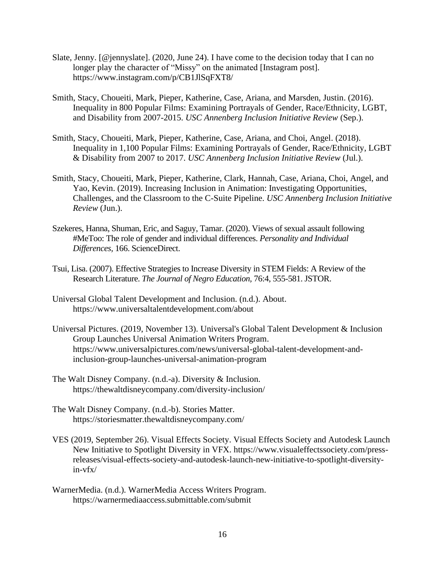- Slate, Jenny. [@jennyslate]. (2020, June 24). I have come to the decision today that I can no longer play the character of "Missy" on the animated [Instagram post]. https://www.instagram.com/p/CB1JlSqFXT8/
- Smith, Stacy, Choueiti, Mark, Pieper, Katherine, Case, Ariana, and Marsden, Justin. (2016). Inequality in 800 Popular Films: Examining Portrayals of Gender, Race/Ethnicity, LGBT, and Disability from 2007-2015. *USC Annenberg Inclusion Initiative Review* (Sep.).
- Smith, Stacy, Choueiti, Mark, Pieper, Katherine, Case, Ariana, and Choi, Angel. (2018). Inequality in 1,100 Popular Films: Examining Portrayals of Gender, Race/Ethnicity, LGBT & Disability from 2007 to 2017. *USC Annenberg Inclusion Initiative Review* (Jul.).
- Smith, Stacy, Choueiti, Mark, Pieper, Katherine, Clark, Hannah, Case, Ariana, Choi, Angel, and Yao, Kevin. (2019). Increasing Inclusion in Animation: Investigating Opportunities, Challenges, and the Classroom to the C-Suite Pipeline. *USC Annenberg Inclusion Initiative Review* (Jun.).
- Szekeres, Hanna, Shuman, Eric, and Saguy, Tamar. (2020). Views of sexual assault following #MeToo: The role of gender and individual differences. *Personality and Individual Differences,* 166. ScienceDirect.
- Tsui, Lisa. (2007). Effective Strategies to Increase Diversity in STEM Fields: A Review of the Research Literature. *The Journal of Negro Education,* 76:4, 555-581. JSTOR.
- Universal Global Talent Development and Inclusion. (n.d.). About. <https://www.universaltalentdevelopment.com/about>
- Universal Pictures. (2019, November 13). Universal's Global Talent Development & Inclusion Group Launches Universal Animation Writers Program. https://www.universalpictures.com/news/universal-global-talent-development-andinclusion-group-launches-universal-animation-program
- The Walt Disney Company. (n.d.-a). Diversity & Inclusion. <https://thewaltdisneycompany.com/diversity-inclusion/>
- The Walt Disney Company. (n.d.-b). Stories Matter. <https://storiesmatter.thewaltdisneycompany.com/>
- VES (2019, September 26). Visual Effects Society. Visual Effects Society and Autodesk Launch New Initiative to Spotlight Diversity in VFX. [https://www.visualeffectssociety.com/press](https://www.visualeffectssociety.com/press-releases/visual-effects-society-and-autodesk-launch-new-initiative-to-spotlight-diversity-in-vfx/)[releases/visual-effects-society-and-autodesk-launch-new-initiative-to-spotlight-diversity](https://www.visualeffectssociety.com/press-releases/visual-effects-society-and-autodesk-launch-new-initiative-to-spotlight-diversity-in-vfx/)[in-vfx/](https://www.visualeffectssociety.com/press-releases/visual-effects-society-and-autodesk-launch-new-initiative-to-spotlight-diversity-in-vfx/)
- WarnerMedia. (n.d.). WarnerMedia Access Writers Program. <https://warnermediaaccess.submittable.com/submit>